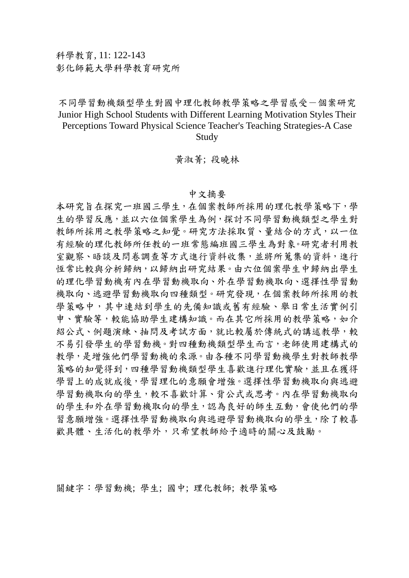## 不同學習動機類型學生對國中理化教師教學策略之學習感受一個案研究 Junior High School Students with Different Learning Motivation Styles Their Perceptions Toward Physical Science Teacher's Teaching Strategies-A Case Study

黃淑菁; 段曉林

## 中文摘要

本研究旨在探究一班國三學生,在個案教師所採用的理化教學策略下,學 生的學習反應,並以六位個案學生為例,探討不同學習動機類型之學生對 教師所採用之教學策略之知覺。研究方法採取質、量結合的方式,以一位 有經驗的理化教師所任教的一班常態編班國三學生為對象。研究者利用教 室觀察、晤談及問卷調查等方式進行資料收集,並將所蒐集的資料,進行 恆常比較與分析歸納,以歸納出研究結果。由六位個案學生中歸納出學生 的理化學習動機有內在學習動機取向、外在學習動機取向、選擇性學習動 機取向、逃避學習動機取向四種類型。研究發現,在個案教師所採用的教 學策略中,其中連結到學生的先備知識或舊有經驗、舉日常生活實例引 申、實驗等,較能協助學生建構知識。而在其它所採用的教學策略,如介 紹公式、例題演練、抽問及考試方面,就比較屬於傳統式的講述教學,較 不易引發學生的學習動機。對四種動機類型學生而言,老師使用建構式的 教學,是增強他們學習動機的來源。由各種不同學習動機學生對教師教學 策略的知覺得到,四種學習動機類型學生喜歡進行理化實驗,並且在獲得 學習上的成就成後,學習理化的意願會增強。選擇性學習動機取向與逃避 學習動機取向的學生,較不喜歡計算、背公式或思考。內在學習動機取向 的學生和外在學習動機取向的學生,認為良好的師生互動,會使他們的學 習意願增強。選擇性學習動機取向與逃避學習動機取向的學生,除了較喜 歡具體、生活化的教學外,只希望教師給予適時的關心及鼓勵。

關鍵字:學習動機; 學生; 國中; 理化教師; 教學策略